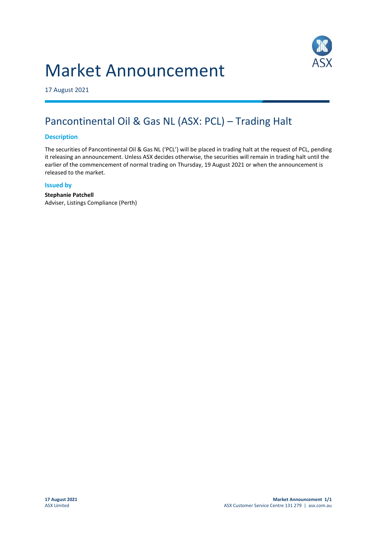# Market Announcement



17 August 2021

## Pancontinental Oil & Gas NL (ASX: PCL) – Trading Halt

#### **Description**

The securities of Pancontinental Oil & Gas NL ('PCL') will be placed in trading halt at the request of PCL, pending it releasing an announcement. Unless ASX decides otherwise, the securities will remain in trading halt until the earlier of the commencement of normal trading on Thursday, 19 August 2021 or when the announcement is released to the market.

#### **Issued by**

**Stephanie Patchell** Adviser, Listings Compliance (Perth)